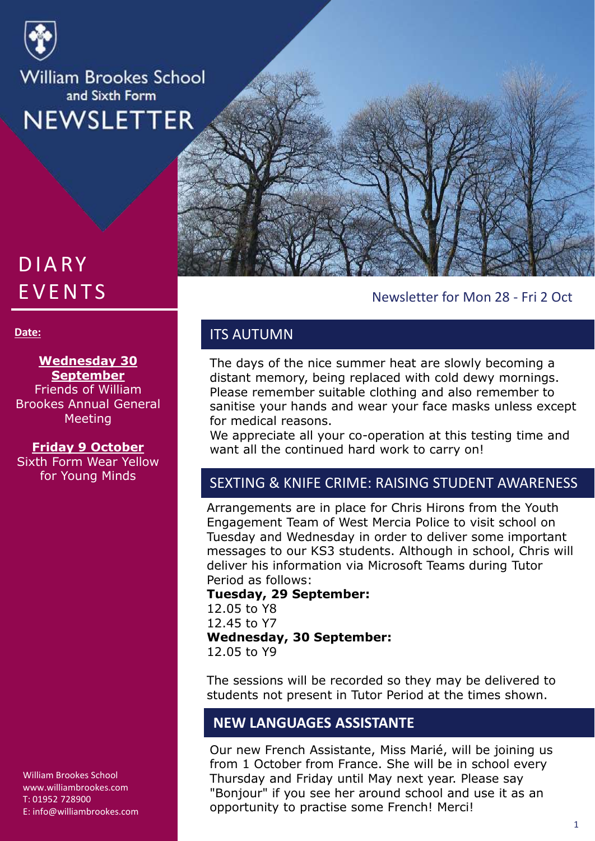

# **DIARY EVENTS**

#### **Date:**

### **Wednesday 30 September**

Friends of William Brookes Annual General Meeting

### **Friday 9 October**

Sixth Form Wear Yellow

William Brookes School www.williambrookes.com T: 01952 728900 E: info@williambrookes.com



## Newsletter for Mon 28 - Fri 2 Oct

## ITS AUTUMN

The days of the nice summer heat are slowly becoming a distant memory, being replaced with cold dewy mornings. Please remember suitable clothing and also remember to sanitise your hands and wear your face masks unless except for medical reasons.

We appreciate all your co-operation at this testing time and want all the continued hard work to carry on!

# for Young Minds SEXTING & KNIFE CRIME: RAISING STUDENT AWARENESS

Arrangements are in place for Chris Hirons from the Youth Engagement Team of West Mercia Police to visit school on Tuesday and Wednesday in order to deliver some important messages to our KS3 students. Although in school, Chris will deliver his information via Microsoft Teams during Tutor Period as follows:

### **Tuesday, 29 September:** 12.05 to Y8 12.45 to Y7 **Wednesday, 30 September:** 12.05 to Y9

The sessions will be recorded so they may be delivered to students not present in Tutor Period at the times shown.

## **NEW LANGUAGES ASSISTANTE**

Our new French Assistante, Miss Marié, will be joining us from 1 October from France. She will be in school every Thursday and Friday until May next year. Please say "Bonjour" if you see her around school and use it as an opportunity to practise some French! Merci!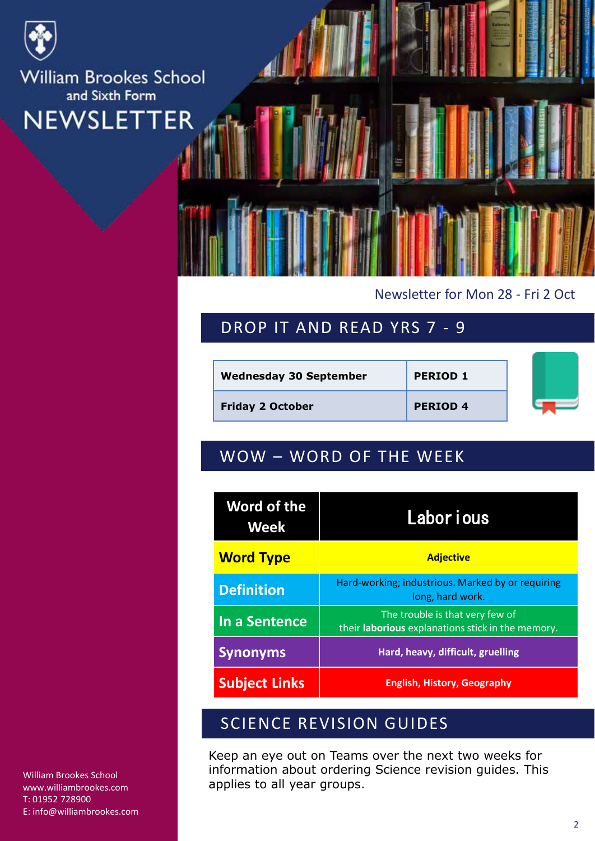

## Newsletter for Mon 28 - Fri 2 Oct

## DROP IT AND READ YRS 7 - 9

| <b>Wednesday 30 September</b> | <b>PERIOD 1</b> |  |
|-------------------------------|-----------------|--|
| <b>Friday 2 October</b>       | <b>PERIOD 4</b> |  |

## WOW – WORD OF THE WEEK

| <b>Word of the</b><br>Week | Labor i ous                                                                          |  |
|----------------------------|--------------------------------------------------------------------------------------|--|
| <b>Word Type</b>           | <b>Adjective</b>                                                                     |  |
| <b>Definition</b>          | Hard-working; industrious. Marked by or requiring<br>long, hard work.                |  |
| In a Sentence              | The trouble is that very few of<br>their laborious explanations stick in the memory. |  |
| <b>Synonyms</b>            | Hard, heavy, difficult, gruelling                                                    |  |
| <b>Subject Links</b>       | <b>English, History, Geography</b>                                                   |  |

## SCIENCE REVISION GUIDES

Keep an eye out on Teams over the next two weeks for information about ordering Science revision guides. This applies to all year groups.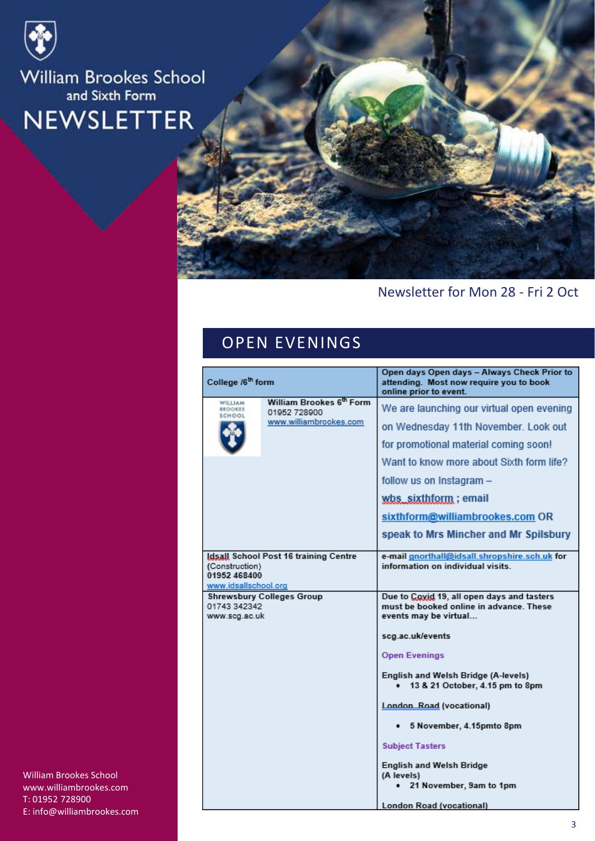



## Newsletter for Mon 28 - Fri 2 Oct

## OPEN EVENINGS

| College /6 <sup>th</sup> form                          |                                          | Open days Open days - Always Check Prior to<br>attending. Most now require you to book                         |
|--------------------------------------------------------|------------------------------------------|----------------------------------------------------------------------------------------------------------------|
|                                                        |                                          | online prior to event.                                                                                         |
| WILLIAM<br><b>BROOKES</b><br>SCHOOL                    | William Brookes 6th Form<br>01952 728900 | We are launching our virtual open evening                                                                      |
|                                                        | www.williambrookes.com                   | on Wednesday 11th November. Look out                                                                           |
|                                                        |                                          | for promotional material coming soon!                                                                          |
|                                                        |                                          | Want to know more about Sixth form life?                                                                       |
|                                                        |                                          | follow us on Instagram -                                                                                       |
|                                                        |                                          | wbs_sixthform; email                                                                                           |
|                                                        |                                          | sixthform@williambrookes.com OR                                                                                |
|                                                        |                                          | speak to Mrs Mincher and Mr Spilsbury                                                                          |
| (Construction)<br>01952 468400<br>www.idsallschool.org | Idsall School Post 16 training Centre    | e-mail gnorthall@idsall.shropshire.sch.uk for<br>information on individual visits.                             |
| 01743 342342<br>www.scg.ac.uk                          | <b>Shrewsbury Colleges Group</b>         | Due to Coxid 19, all open days and tasters<br>must be booked online in advance. These<br>events may be virtual |
|                                                        |                                          | scg.ac.uk/events                                                                                               |
|                                                        |                                          | <b>Open Evenings</b>                                                                                           |
|                                                        |                                          | English and Welsh Bridge (A-levels)<br>13 & 21 October, 4.15 pm to 8pm                                         |
|                                                        |                                          | London Road (vocational)                                                                                       |
|                                                        |                                          | 5 November, 4.15pmto 8pm                                                                                       |
|                                                        |                                          | <b>Subject Tasters</b>                                                                                         |
|                                                        |                                          | <b>English and Welsh Bridge</b>                                                                                |
|                                                        |                                          | (A levels)<br>21 November, 9am to 1pm                                                                          |
|                                                        |                                          | London Road (vocational)                                                                                       |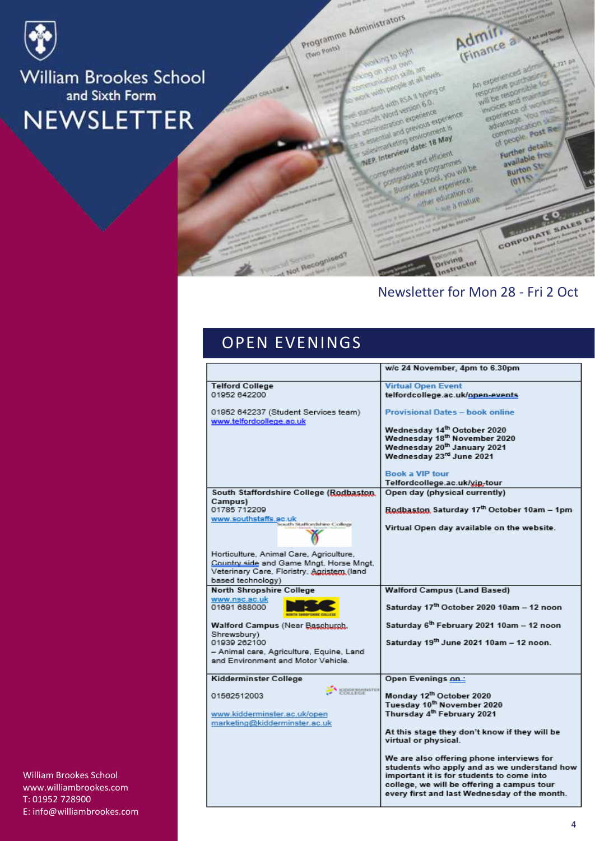

**Gwo Posta)** 

Programme Administrators Admir. **Man or protic** on you cam on your cam<br>on your cam are<br>cheaten skills at all y

An experienced adm with people at all teplana of<br>contration skills at all levels An experienced administration will be responsible for<br>responsive purchasine for<br>will be responsible for and with ession 6.0. invoices and maintains<br>will be responsible experience of working<br>experience of working<br>experience You must ork with RSA II Mon-<br>samd with RSA II Mon-<br>croott Word version Branker woices and of working come with version 6.0<br>molt Word version experience<br>sministration experience ext<br>sministration previonme completed version experience in Interview date: 18 May **MEP. Interview date: 18 May**<br>MEP. Interview date: 18 May<br>MEP. Interview date: 18 May

sperience<br>advantage vous dramage<br>communication<br>of people post Red f people<br>Further details P. Interview date: 16 Further details P. Interview<br>Statement and efficient<br>Officializate programmes<br>Sucress Shock you will Superior and efficients be available<br>Burton St manus education of educt education or

 $2110$ education

# CORPORATE SALES EX

**A Service** 

 $J23.0<sup>3</sup>$ 

## Newsletter for Mon 28 - Fri 2 Oct

**Driving**<br>Driving<br>Instructor

## OPEN EVENINGS

Not Recognised?

|                                                                  | w/c 24 November, 4pm to 6.30pm                        |
|------------------------------------------------------------------|-------------------------------------------------------|
| <b>Telford College</b>                                           | <b>Virtual Open Event</b>                             |
| 01952 642200                                                     | telfordcollege.ac.uk/open-events                      |
| 01952 642237 (Student Services team)<br>www.telfordcollege.ac.uk | <b>Provisional Dates - book online</b>                |
|                                                                  | Wednesday 14th October 2020                           |
|                                                                  | Wednesday 18th November 2020                          |
|                                                                  | Wednesday 20 <sup>th</sup> January 2021               |
|                                                                  | Wednesday 23rd June 2021                              |
|                                                                  |                                                       |
|                                                                  | <b>Book a VIP tour</b>                                |
|                                                                  | Telfordcollege.ac.uk/yip-tour                         |
| South Staffordshire College (Rodbaston,                          | Open day (physical currently)                         |
| Campus)                                                          |                                                       |
| 01785 712209<br>www.southstaffs.ac.uk                            | Rodbaston Saturday 17th October 10am - 1pm            |
| iouth Staffordshire College                                      | Virtual Open day available on the website.            |
|                                                                  |                                                       |
| Horticulture, Animal Care, Agriculture,                          |                                                       |
| Country side and Game Mngt, Horse Mngt,                          |                                                       |
| Veterinary Care, Floristry, Agristem (land                       |                                                       |
| based technology)                                                |                                                       |
| <b>North Shropshire College</b>                                  | <b>Walford Campus (Land Based)</b>                    |
| www.nsc.ac.uk                                                    |                                                       |
| 01691 688000                                                     | Saturday 17th October 2020 10am - 12 noon             |
| Walford Campus (Near Baschurch,                                  | Saturday 6 <sup>th</sup> February 2021 10am - 12 noon |
| Shrewsbury)<br>01939 262100                                      | Saturday 19th June 2021 10am - 12 noon.               |
| - Animal care, Agriculture, Equine, Land                         |                                                       |
| and Environment and Motor Vehicle.                               |                                                       |
|                                                                  |                                                       |
| Kidderminster College                                            | Open Evenings on:                                     |
| <b>IDDEBMINSTER</b><br>OLLEGE<br>01562512003                     | Monday 12th October 2020                              |
|                                                                  | Tuesday 10 <sup>th</sup> November 2020                |
|                                                                  | Thursday 4 <sup>th</sup> February 2021                |
| www.kidderminster.ac.uk/open<br>marketing@kidderminster.ac.uk    |                                                       |
|                                                                  | At this stage they don't know if they will be         |
|                                                                  | virtual or physical.                                  |
|                                                                  |                                                       |
|                                                                  | We are also offering phone interviews for             |
|                                                                  | students who apply and as we understand how           |
|                                                                  | important it is for students to come into             |
|                                                                  | college, we will be offering a campus tour            |
|                                                                  | every first and last Wednesday of the month.          |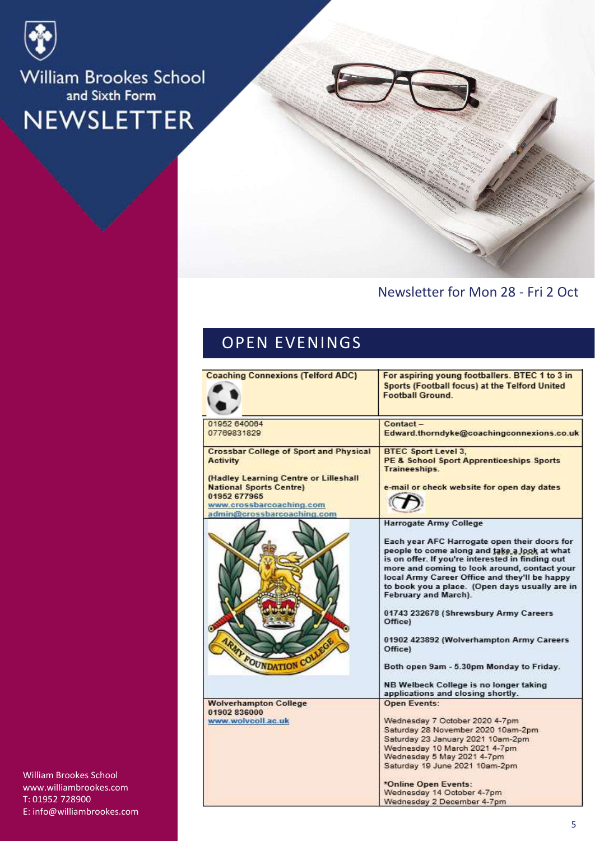

## Newsletter for Mon 28 - Fri 2 Oct

## OPEN EVENINGS

| <b>Coaching Connexions (Telford ADC)</b>                                                                                                          | For aspiring young footballers. BTEC 1 to 3 in<br>Sports (Football focus) at the Telford United<br><b>Football Ground.</b>                                                                                                                                                                                                  |
|---------------------------------------------------------------------------------------------------------------------------------------------------|-----------------------------------------------------------------------------------------------------------------------------------------------------------------------------------------------------------------------------------------------------------------------------------------------------------------------------|
| 01952 640064                                                                                                                                      | Contact-                                                                                                                                                                                                                                                                                                                    |
| 07769831829                                                                                                                                       | Edward.thorndyke@coachingconnexions.co.uk                                                                                                                                                                                                                                                                                   |
| <b>Crossbar College of Sport and Physical</b><br><b>Activity</b>                                                                                  | <b>BTEC Sport Level 3.</b><br><b>PE &amp; School Sport Apprenticeships Sports</b><br>Traineeships.                                                                                                                                                                                                                          |
| (Hadley Learning Centre or Lilleshall<br><b>National Sports Centre)</b><br>01952 677965<br>www.crossbarcoaching.com<br>admin@crossbarcoaching.com | e-mail or check website for open day dates                                                                                                                                                                                                                                                                                  |
|                                                                                                                                                   | Harrogate Army College                                                                                                                                                                                                                                                                                                      |
|                                                                                                                                                   | Each year AFC Harrogate open their doors for<br>people to come along and take a look at what<br>is on offer. If you're interested in finding out<br>more and coming to look around, contact your<br>local Army Career Office and they'll be happy<br>to book you a place. (Open days usually are in<br>February and March). |
|                                                                                                                                                   | 01743 232678 (Shrewsbury Army Careers<br>Office)                                                                                                                                                                                                                                                                            |
| <b>ARMY FOUNDATION COLLE</b>                                                                                                                      | 01902 423892 (Wolverhampton Army Careers<br>Office)                                                                                                                                                                                                                                                                         |
|                                                                                                                                                   | Both open 9am - 5.30pm Monday to Friday.                                                                                                                                                                                                                                                                                    |
|                                                                                                                                                   | NB Welbeck College is no longer taking<br>applications and closing shortly.                                                                                                                                                                                                                                                 |
| <b>Wolverhampton College</b>                                                                                                                      | <b>Open Events:</b>                                                                                                                                                                                                                                                                                                         |
| 01902 836000                                                                                                                                      |                                                                                                                                                                                                                                                                                                                             |
| www.wolvcoll.ac.uk                                                                                                                                | Wednesday 7 October 2020 4-7pm                                                                                                                                                                                                                                                                                              |
|                                                                                                                                                   | Saturday 28 November 2020 10am-2pm                                                                                                                                                                                                                                                                                          |
|                                                                                                                                                   | Saturday 23 January 2021 10am-2pm                                                                                                                                                                                                                                                                                           |
|                                                                                                                                                   | Wednesday 10 March 2021 4-7pm<br>Wednesday 5 May 2021 4-7pm                                                                                                                                                                                                                                                                 |
|                                                                                                                                                   | Saturday 19 June 2021 10am-2pm.                                                                                                                                                                                                                                                                                             |
|                                                                                                                                                   | *Online Open Events:                                                                                                                                                                                                                                                                                                        |
|                                                                                                                                                   | Wednesday 14 October 4-7pm                                                                                                                                                                                                                                                                                                  |
|                                                                                                                                                   | Wednesday 2 December 4-7pm                                                                                                                                                                                                                                                                                                  |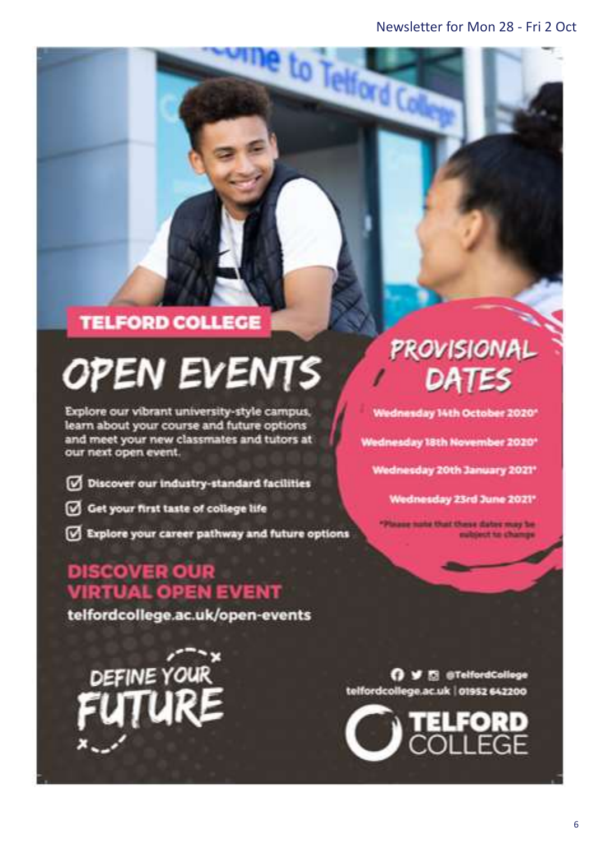to Telford G

## **TELFORD COLLEGE**

# **OPEN EVENTS**

Explore our vibrant university-style campus, learn about your course and future options and meet your new classmates and tutors at our next open event.

- Discover our industry-standard facilities
- Get your first taste of college life
- Explore your career pathway and future options

## **DISCOVER OUR VIRTUAL OPEN EVENT**

telfordcollege.ac.uk/open-events

DEFINE YOUR

# PROVISIONAL DATES

Wednesday 14th October 2020\*

Wednesday 18th November 2020\*

Wednesday 20th January 2021\*

Wednesday 23rd June 2021\*

aug nate that these dates may be ubject to change

O V El @TelfordCollege telfordcollege.ac.uk | 01952 642200

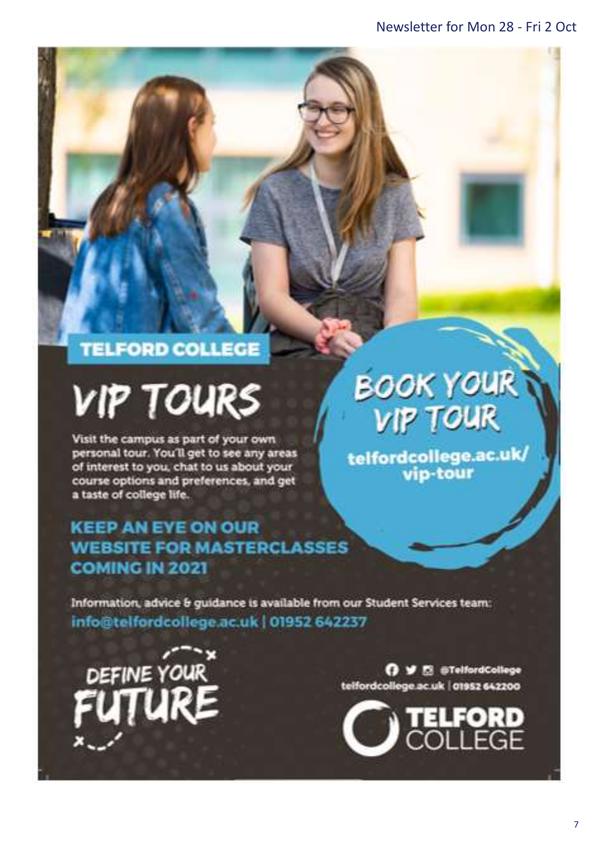# **TELFORD COLLEGE**

# **VIP TOURS**

Visit the campus as part of your own personal tour. You'll get to see any areas of interest to you, chat to us about your course options and preferences, and get a taste of college life.

## **KEEP AN EYE ON OUR WEBSITE FOR MASTERCLASSES COMING IN 2021**

# **BOOK YOUR VIP TOUR**

/telfordcollege.ac.uk<br>vip-tour

Information, advice & guidance is available from our Student Services team: info@telfordcollege.ac.uk | 01952 642237



O V E @TelfordCollege telfordcollege.ac.uk | 01952 642200

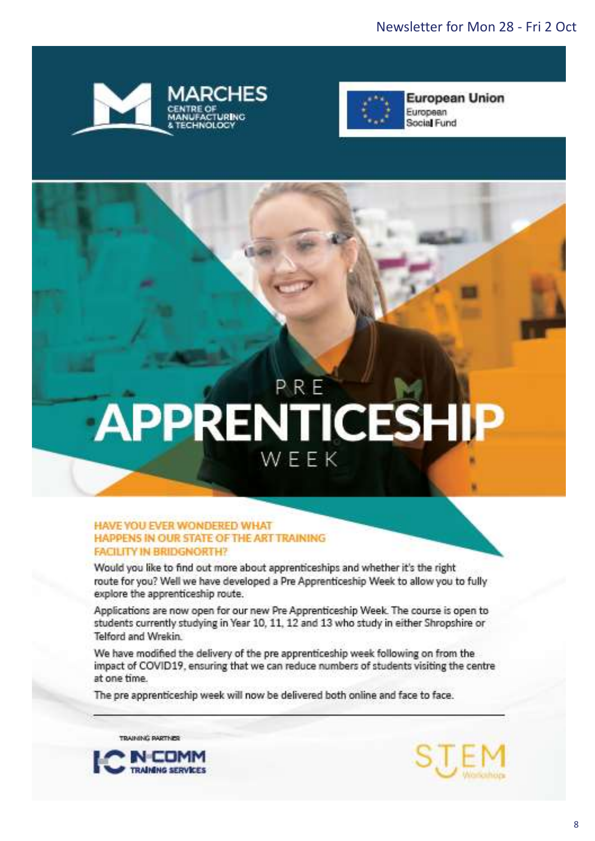



# PRE APPRENTICESHIP WEEK

#### HAVE YOU EVER WONDERED WHAT HAPPENS IN OUR STATE OF THE ART TRAINING **FACILITY IN BRIDGNORTH?**

Would you like to find out more about apprenticeships and whether it's the right route for you? Well we have developed a Pre Apprenticeship Week to allow you to fully explore the apprenticeship route.

Applications are now open for our new Pre Apprenticeship Week. The course is open to students currently studying in Year 10, 11, 12 and 13 who study in either Shropshire or Telford and Wrekin.

We have modified the delivery of the pre apprenticeship week following on from the impact of COVID19, ensuring that we can reduce numbers of students visiting the centre at one time.

The pre apprenticeship week will now be delivered both online and face to face.

TRAINING PARTNER



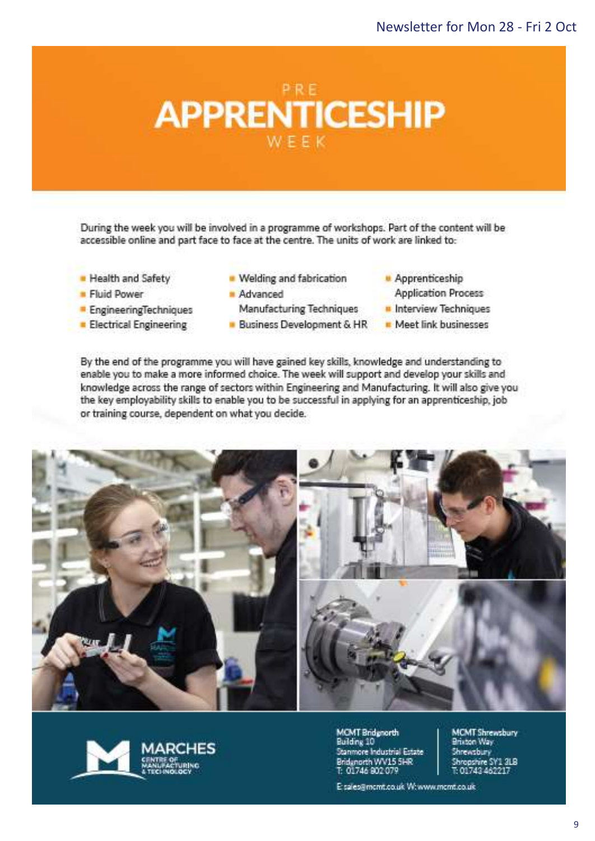

During the week you will be involved in a programme of workshops. Part of the content will be accessible online and part face to face at the centre. The units of work are linked to:

- Health and Safety
- **Fluid Power**
- EngineeringTechniques
- **Electrical Engineering**
- Welding and fabrication
- Advanced Manufacturing Techniques
- Business Development & HR
- Apprenticeship
	- **Application Process**
- Interview Techniques
- Meet link businesses

By the end of the programme you will have gained key skills, knowledge and understanding to enable you to make a more informed choice. The week will support and develop your skills and knowledge across the range of sectors within Engineering and Manufacturing. It will also give you the key employability skills to enable you to be successful in applying for an apprenticeship, job or training course, dependent on what you decide.





**MCMT Bridgeorth** Building 10 Stanmore Industrial Estate Bridanorth WV15 5HR T: 01746 802 079

MCMT Shrewsbury<br>Brixton Way Shrewsbury<br>Shropshire SY's 3LB<br>T: 01743 462217

E sales@mcmt.co.uk W:www.mcmt.co.uk